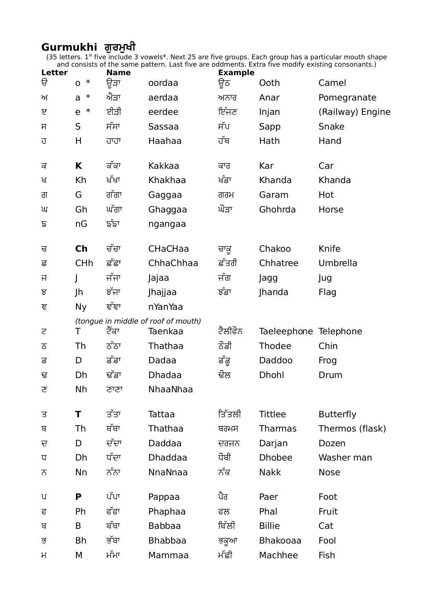## **Gurmukhi ਗਰੁ ਮਖੁ ੀ**

(35 letters. 1<sup>st</sup> five include 3 vowels\*. Next 25 are five groups. Each group has a particular mouth shape and consists of the same pattern. Last five are oddments. Extra five modify existing consonants.)

| <b>Letter</b> |                       | <b>Name</b> |                                     | <b>Example</b> |                       |                  |  |
|---------------|-----------------------|-------------|-------------------------------------|----------------|-----------------------|------------------|--|
| $\theta$      | $\ast$<br>$\mathsf O$ | ਉੜਾ         | oordaa                              | ਊਠ             | Ooth                  | Camel            |  |
| ਅ             | $\ast$<br>a           | ਐੜਾ         | aerdaa                              | ਅਨਾਰ           | Anar                  | Pomegranate      |  |
| ੲ             | $\ast$<br>e           | ਈੜੀ         | eerdee                              | ਇੰਜਣ           | Injan                 | (Railway) Engine |  |
| ਸ             | S                     | ਸੱਸਾ        | Sassaa                              | ਸੱਪ            | Sapp                  | Snake            |  |
| ਹ             | Η                     | ਹਾਹਾ        | Haahaa                              | ਹੱਥ            | Hath                  | Hand             |  |
| ਕ             | K                     | ਕੱਕਾ        | Kakkaa                              | ਕਾਰ            | Kar                   | Car              |  |
| ਖ             | Kh                    | ਖੱਖਾ        | Khakhaa                             | ਖੰਡਾ           | Khanda                | Khanda           |  |
| ਗ             | G                     | ਗੱਗਾ        | Gaggaa                              | ਗਰਮ            | Garam                 | Hot              |  |
| Щ             | Gh                    | ਘੱਗਾ        | Ghaggaa                             | ਘੋੜਾ           | Ghohrda<br>Horse      |                  |  |
| ਙ             | nG                    | ਙੰਙਾ        | ngangaa                             |                |                       |                  |  |
| ਚ             | Ch                    | ਚੱਚਾ        | <b>CHaCHaa</b>                      | ਚਾਕੁ           | Chakoo                | Knife            |  |
| ਛ             | <b>CHh</b>            | ਛੱਛਾ        | ChhaChhaa                           | ਛੱਤਰੀ          | Chhatree              | Umbrella         |  |
| ਜ             | J                     | ਜੱਜਾ        | Jajaa                               | ਜੱਗ            | Jagg                  | Jug              |  |
| ਝ             | Jh                    | ਝੱਜਾ        | Jhajjaa                             | ਝੰਡਾ           | Jhanda                | Flag             |  |
| ਞ             | <b>Ny</b>             | ਞੱਞਾ        | nYanYaa                             |                |                       |                  |  |
|               |                       |             | (tongue in middle of roof of mouth) |                |                       |                  |  |
| ਟ             | Τ                     | ਟੈਂਕਾ       | Taenkaa                             | ਟੈਲੀਫੋਨ        | Taeleephone Telephone |                  |  |
| ठ             | Th                    | ਠੱਠਾ        | Thathaa                             | ਠੋਡੀ           | Thodee                | Chin             |  |
| ਡ             | D                     | ਡੱਡਾ        | Dadaa                               | ਡੱਡੁ           | Daddoo                | Frog             |  |
| ਦ             | Dh                    | ਢੱਡਾ        | <b>Dhadaa</b>                       | ਢੋਲ            | Dhohl                 | Drum             |  |
| ਣ             | Nh                    | ਣਾਣਾ        | NhaaNhaa                            |                |                       |                  |  |
| ਤ             | T                     | ਤੱਤਾ        | Tattaa                              | ਤਿੱਤਲੀ         | <b>Tittlee</b>        | <b>Butterfly</b> |  |
| ਥ             | Th                    | ਥੱਥਾ        | Thathaa                             | ਥਰਮਸ           | <b>Tharmas</b>        | Thermos (flask)  |  |
| ਦ             | D                     | ਦੱਦਾ        | Daddaa                              | ਦਰਜਨ           | Darjan                | Dozen            |  |
| प             | Dh                    | ਧੱਦਾ        | <b>Dhaddaa</b>                      | ਧੋਬੀ           | <b>Dhobee</b>         | Washer man       |  |
| ਨ             | Nn                    | ਨੱਨਾ        | NnaNnaa                             | ਨੱਕ            | <b>Nakk</b>           | <b>Nose</b>      |  |
| ਪ             | P                     | ਪੱਪਾ        | Pappaa                              | ਪੈਰ            | Paer                  | Foot             |  |
| ह             | Ph                    | ਫੱਫਾ        | Phaphaa                             | ਫਲ             | Phal                  | Fruit            |  |
| ਬ             | B                     | ਬੱਬਾ        | <b>Babbaa</b>                       | ਬਿੱਲੀ          | <b>Billie</b>         | Cat              |  |
| ਭ             | <b>Bh</b>             | ਭੱਬਾ        | <b>Bhabbaa</b>                      | ਭਕੂਆ           | Bhakooaa              | Fool             |  |
| $\mathcal{H}$ | М                     | ਮੱਮਾ        | Mammaa                              | ਮੱਛੀ           | Machhee               | Fish             |  |